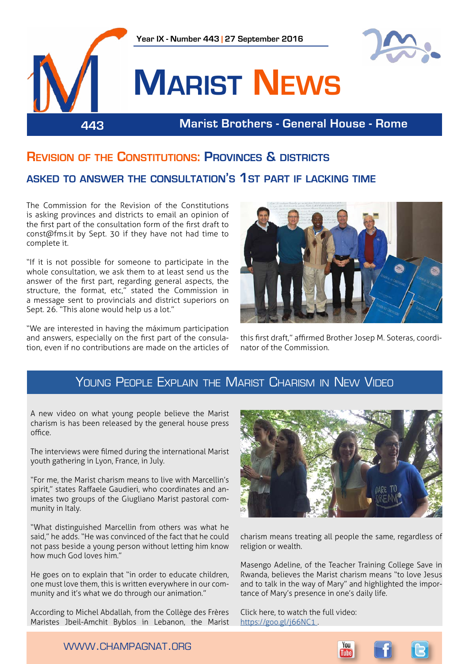

## **Revision of the Constitutions: Provinces & districts**

### **asked to answer the consultation's 1st part if lacking time**

The Commission for the Revision of the Constitutions is asking provinces and districts to email an opinion of the first part of the consultation form of the first draft to const@fms.it by Sept. 30 if they have not had time to complete it.

"If it is not possible for someone to participate in the whole consultation, we ask them to at least send us the answer of the first part, regarding general aspects, the structure, the format, etc," stated the Commission in a message sent to provincials and district superiors on Sept. 26. "This alone would help us a lot."

"We are interested in having the máximum participation and answers, especially on the first part of the consulation, even if no contributions are made on the articles of



this first draft," affirmed Brother Josep M. Soteras, coordinator of the Commission.

## YOUNG PEOPLE EXPLAIN THE MARIST CHARISM IN NEW VIDEO

A new video on what young people believe the Marist charism is has been released by the general house press office.

The interviews were filmed during the international Marist youth gathering in Lyon, France, in July.

"For me, the Marist charism means to live with Marcellin's spirit," states Raffaele Gaudieri, who coordinates and animates two groups of the Giugliano Marist pastoral community in Italy.

"What distinguished Marcellin from others was what he said," he adds. "He was convinced of the fact that he could not pass beside a young person without letting him know how much God loves him."

He goes on to explain that "in order to educate children, one must love them, this is written everywhere in our community and it's what we do through our animation."

According to Michel Abdallah, from the Collège des Frères Maristes Jbeil-Amchit Byblos in Lebanon, the Marist



charism means treating all people the same, regardless of religion or wealth.

Masengo Adeline, of the Teacher Training College Save in Rwanda, believes the Marist charism means "to love Jesus and to talk in the way of Mary" and highlighted the importance of Mary's presence in one's daily life.

Click here, to watch the full video: <https://goo.gl/j66NC1>.

www.champagnat.org

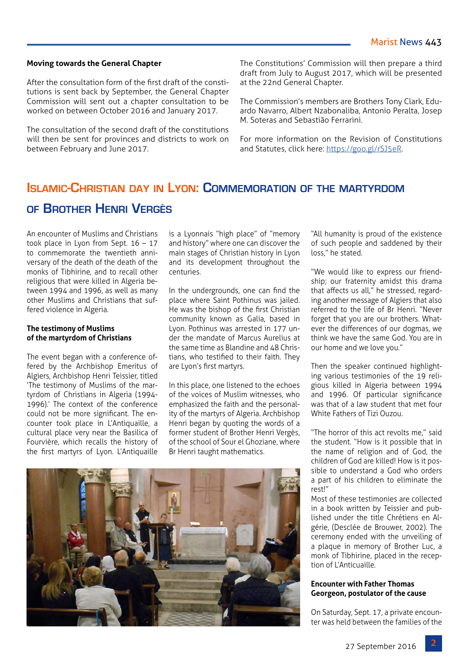#### **Moving towards the General Chapter**

After the consultation form of the first draft of the constitutions is sent back by September, the General Chapter Commission will sent out a chapter consultation to be worked on between October 2016 and January 2017.

The consultation of the second draft of the constitutions will then be sent for provinces and districts to work on between February and June 2017.

The Constitutions' Commission will then prepare a third draft from July to August 2017, which will be presented at the 22nd General Chapter.

The Commission's members are Brothers Tony Clark, Eduardo Navarro, Albert Nzabonaliba, Antonio Peralta, Josep M. Soteras and Sebastião Ferrarini.

For more information on the Revision of Constitutions and Statutes, click here: [https://goo.gl/rSJ5eR.](https://goo.gl/rSJ5eR)

## **Islamic-Christian day in Lyon: Commemoration of the martyrdom of Brother Henri Vergès**

An encounter of Muslims and Christians took place in Lyon from Sept.  $16 - 17$ to commemorate the twentieth anniversary of the death of the death of the monks of Tibhirine, and to recall other religious that were killed in Algeria between 1994 and 1996, as well as many other Muslims and Christians that suffered violence in Algeria.

#### **The testimony of Muslims of the martyrdom of Christians**

The event began with a conference offered by the Archbishop Emeritus of Algiers, Archbishop Henri Teissier, titled 'The testimony of Muslims of the martyrdom of Christians in Algeria (1994- 1996).' The context of the conference could not be more significant. The encounter took place in L'Antiquaille, a cultural place very near the Basilica of Fourvière, which recalls the history of the first martyrs of Lyon. L'Antiquaille is a Lyonnais "high place" of "memory and history" where one can discover the main stages of Christian history in Lyon and its development throughout the centuries.

In the undergrounds, one can find the place where Saint Pothinus was jailed. He was the bishop of the first Christian community known as Galia, based in Lyon. Pothinus was arrested in 177 under the mandate of Marcus Aurelius at the same time as Blandine and 48 Christians, who testified to their faith. They are Lyon's first martyrs.

In this place, one listened to the echoes of the voices of Muslim witnesses, who emphasized the faith and the personality of the martyrs of Algeria. Archbishop Henri began by quoting the words of a former student of Brother Henri Vergès, of the school of Sour el Ghoziane, where Br Henri taught mathematics.



"All humanity is proud of the existence of such people and saddened by their loss," he stated.

"We would like to express our friendship; our fraternity amidst this drama that affects us all," he stressed, regarding another message of Algiers that also referred to the life of Br Henri. "Never forget that you are our brothers. Whatever the differences of our dogmas, we think we have the same God. You are in our home and we love you."

Then the speaker continued highlighting various testimonies of the 19 religious killed in Algeria between 1994 and 1996. Of particular significance was that of a law student that met four White Fathers of Tizi Ouzou.

"The horror of this act revolts me," said the student. "How is it possible that in the name of religion and of God, the children of God are killed! How is it possible to understand a God who orders a part of his children to eliminate the rest!"

Most of these testimonies are collected in a book written by Teissier and published under the title Chrétiens en Algérie, (Desclée de Brouwer, 2002). The ceremony ended with the unveiling of a plaque in memory of Brother Luc, a monk of Tibhirine, placed in the reception of L'Anticuaille.

#### **Encounter with Father Thomas Georgeon, postulator of the cause**

On Saturday, Sept. 17, a private encounter was held between the families of the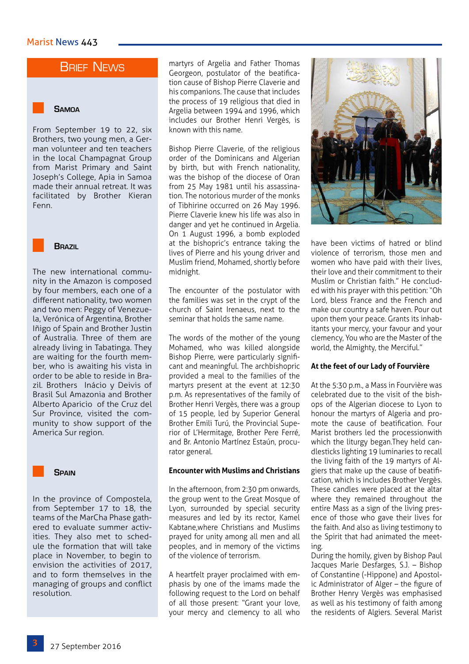## **BRIEF NEWS**

#### **Samoa**

From September 19 to 22, six Brothers, two young men, a German volunteer and ten teachers in the local Champagnat Group from Marist Primary and Saint Joseph's College, Apia in Samoa made their annual retreat. It was facilitated by Brother Kieran Fenn.



The new international community in the Amazon is composed by four members, each one of a different nationality, two women and two men: Peggy of Venezuela, Verónica of Argentina, Brother Iñigo of Spain and Brother Justin of Australia. Three of them are already living in Tabatinga. They are waiting for the fourth member, who is awaiting his vista in order to be able to reside in Brazil. Brothers Inácio y Deivis of Brasil Sul Amazonia and Brother Alberto Aparicio of the Cruz del Sur Province, visited the community to show support of the America Sur region.



In the province of Compostela, from September 17 to 18, the teams of the MarCha Phase gathered to evaluate summer activities. They also met to schedule the formation that will take place in November, to begin to envision the activities of 2017, and to form themselves in the managing of groups and conflict resolution.

martyrs of Argelia and Father Thomas Georgeon, postulator of the beatification cause of Bishop Pierre Claverie and his companions. The cause that includes the process of 19 religious that died in Argelia between 1994 and 1996, which includes our Brother Henri Vergès, is known with this name.

Bishop Pierre Claverie, of the religious order of the Dominicans and Algerian by birth, but with French nationality, was the bishop of the diocese of Oran from 25 May 1981 until his assassination. The notorious murder of the monks of Tibhirine occurred on 26 May 1996. Pierre Claverie knew his life was also in danger and yet he continued in Argelia. On 1 August 1996, a bomb exploded at the bishopric's entrance taking the lives of Pierre and his young driver and Muslim friend, Mohamed, shortly before midnight.

The encounter of the postulator with the families was set in the crypt of the church of Saint Irenaeus, next to the seminar that holds the same name.

The words of the mother of the young Mohamed, who was killed alongside Bishop Pierre, were particularly significant and meaningful. The archbishopric provided a meal to the families of the martyrs present at the event at 12:30 p.m. As representatives of the family of Brother Henri Vergès, there was a group of 15 people, led by Superior General Brother Emili Turú, the Provincial Superior of L'Hermitage, Brother Pere Ferré, and Br. Antonio Martínez Estaún, procurator general.

#### **Encounter with Muslims and Christians**

In the afternoon, from 2:30 pm onwards, the group went to the Great Mosque of Lyon, surrounded by special security measures and led by its rector, Kamel Kabtane,where Christians and Muslims prayed for unity among all men and all peoples, and in memory of the victims of the violence of terrorism.

A heartfelt prayer proclaimed with emphasis by one of the imams made the following request to the Lord on behalf of all those present: "Grant your love, your mercy and clemency to all who



have been victims of hatred or blind violence of terrorism, those men and women who have paid with their lives, their love and their commitment to their Muslim or Christian faith." He concluded with his prayer with this petition: "Oh Lord, bless France and the French and make our country a safe haven. Pour out upon them your peace. Grants its inhabitants your mercy, your favour and your clemency, You who are the Master of the world, the Almighty, the Merciful."

#### **At the feet of our Lady of Fourvière**

At the 5:30 p.m., a Mass in Fourvière was celebrated due to the visit of the bishops of the Algerian diocese to Lyon to honour the martyrs of Algeria and promote the cause of beatification. Four Marist brothers led the processionwith which the liturgy began.They held candlesticks lighting 19 luminaries to recall the living faith of the 19 martyrs of Algiers that make up the cause of beatification, which is includes Brother Vergès. These candles were placed at the altar where they remained throughout the entire Mass as a sign of the living presence of those who gave their lives for the faith. And also as living testimony to the Spirit that had animated the meeting.

During the homily, given by Bishop Paul Jacques Marie Desfarges, S.J. – Bishop of Constantine (-Hippone) and Apostolic Administrator of Alger – the figure of Brother Henry Vergès was emphasised as well as his testimony of faith among the residents of Algiers. Several Marist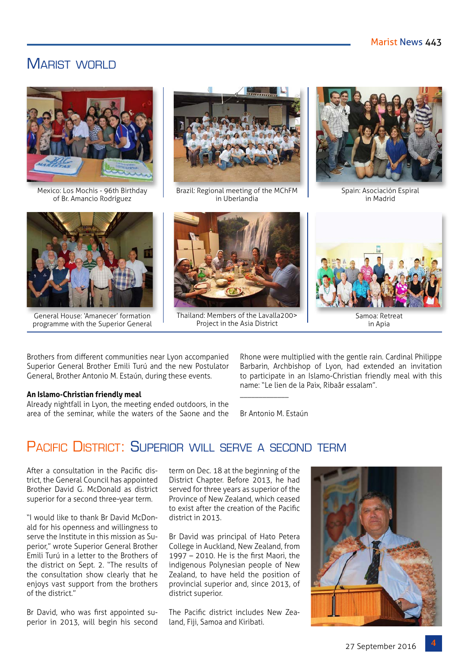## MARIST WORLD



Mexico: Los Mochis - 96th Birthday of Br. Amancio Rodríguez



General House: 'Amanecer' formation programme with the Superior General



Brazil: Regional meeting of the MChFM in Uberlandia



Thailand: Members of the Lavalla200> Project in the Asia District



Spain: Asociación Espiral in Madrid



Samoa: Retreat in Apia

Brothers from different communities near Lyon accompanied Superior General Brother Emili Turú and the new Postulator General, Brother Antonio M. Estaún, during these events.

#### **An Islamo-Christian friendly meal**

Already nightfall in Lyon, the meeting ended outdoors, in the area of the seminar, while the waters of the Saone and the Rhone were multiplied with the gentle rain. Cardinal Philippe Barbarin, Archbishop of Lyon, had extended an invitation to participate in an Islamo-Christian friendly meal with this name: "Le lien de la Paix, Ribaâr essalam".

Br Antonio M. Estaún

\_\_\_\_\_\_\_\_\_\_\_\_\_

# PACIFIC DISTRICT: SUPERIOR WILL SERVE A SECOND TERM

After a consultation in the Pacific district, the General Council has appointed Brother David G. McDonald as district superior for a second three-year term.

"I would like to thank Br David McDonald for his openness and willingness to serve the Institute in this mission as Superior," wrote Superior General Brother Emili Turú in a letter to the Brothers of the district on Sept. 2. "The results of the consultation show clearly that he enjoys vast support from the brothers of the district."

Br David, who was first appointed superior in 2013, will begin his second

term on Dec. 18 at the beginning of the District Chapter. Before 2013, he had served for three years as superior of the Province of New Zealand, which ceased to exist after the creation of the Pacific district in 2013.

Br David was principal of Hato Petera College in Auckland, New Zealand, from 1997 – 2010. He is the first Maori, the indigenous Polynesian people of New Zealand, to have held the position of provincial superior and, since 2013, of district superior.

The Pacific district includes New Zealand, Fiji, Samoa and Kiribati.

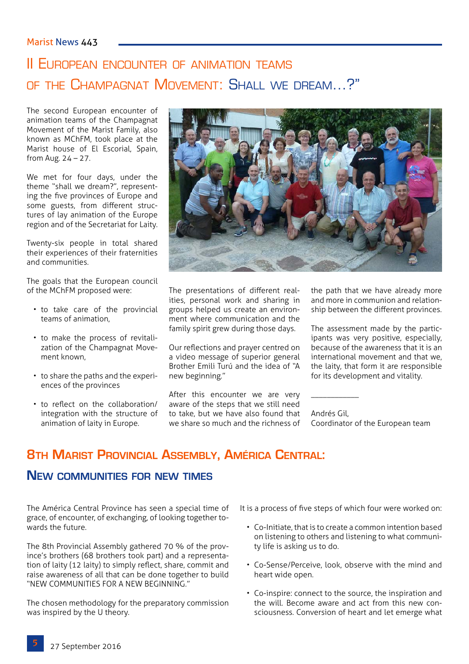# II European encounter of animation teams of the Champagnat Movement: Shall we dream…?"

The second European encounter of animation teams of the Champagnat Movement of the Marist Family, also known as MChFM, took place at the Marist house of El Escorial, Spain, from Aug. 24 – 27.

We met for four days, under the theme "shall we dream?", representing the five provinces of Europe and some guests, from different structures of lay animation of the Europe region and of the Secretariat for Laity.

Twenty-six people in total shared their experiences of their fraternities and communities.

The goals that the European council of the MChFM proposed were:

- to take care of the provincial teams of animation,
- to make the process of revitalization of the Champagnat Movement known,
- to share the paths and the experiences of the provinces
- to reflect on the collaboration/ integration with the structure of animation of laity in Europe.



The presentations of different realities, personal work and sharing in groups helped us create an environment where communication and the family spirit grew during those days.

Our reflections and prayer centred on a video message of superior general Brother Emili Turú and the idea of "A new beginning."

After this encounter we are very aware of the steps that we still need to take, but we have also found that we share so much and the richness of

the path that we have already more and more in communion and relationship between the different provinces.

The assessment made by the participants was very positive, especially, because of the awareness that it is an international movement and that we, the laity, that form it are responsible for its development and vitality.

Andrés Gil, Coordinator of the European team

## **8th Marist Provincial Assembly, América Central:**

### **New communities for new times**

The América Central Province has seen a special time of grace, of encounter, of exchanging, of looking together towards the future.

The 8th Provincial Assembly gathered 70 % of the province's brothers (68 brothers took part) and a representation of laity (12 laity) to simply reflect, share, commit and raise awareness of all that can be done together to build "NEW COMMUNITIES FOR A NEW BEGINNING."

The chosen methodology for the preparatory commission was inspired by the U theory.

It is a process of five steps of which four were worked on:

\_\_\_\_\_\_\_\_\_\_\_\_

- Co-Initiate, that is to create a common intention based on listening to others and listening to what community life is asking us to do.
- Co-Sense/Perceive, look, observe with the mind and heart wide open.
- Co-inspire: connect to the source, the inspiration and the will. Become aware and act from this new consciousness. Conversion of heart and let emerge what